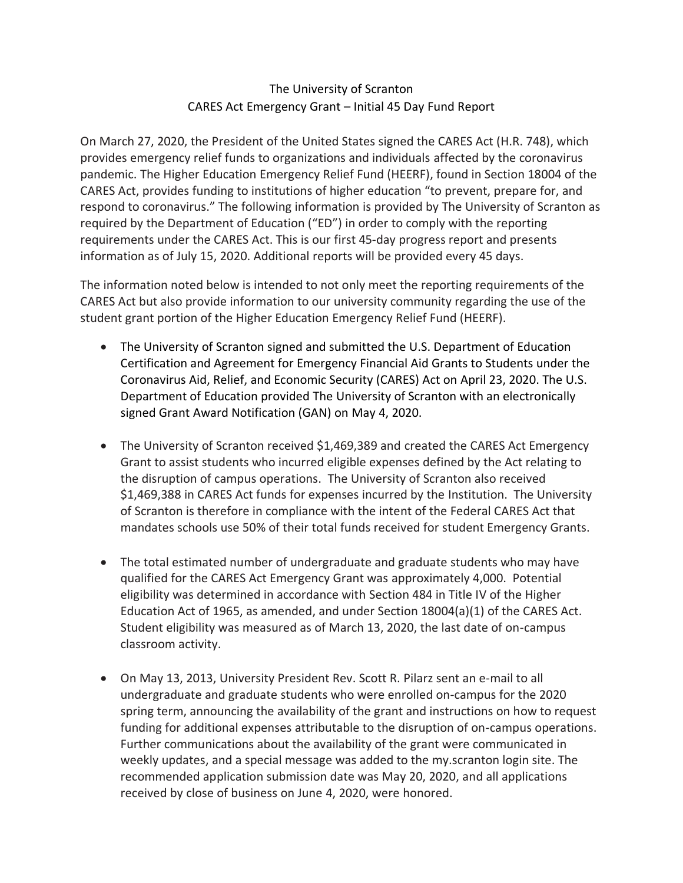## The University of Scranton CARES Act Emergency Grant – Initial 45 Day Fund Report

On March 27, 2020, the President of the United States signed the CARES Act (H.R. 748), which provides emergency relief funds to organizations and individuals affected by the coronavirus pandemic. The Higher Education Emergency Relief Fund (HEERF), found in Section 18004 of the CARES Act, provides funding to institutions of higher education "to prevent, prepare for, and respond to coronavirus." The following information is provided by The University of Scranton as required by the Department of Education ("ED") in order to comply with the reporting requirements under the CARES Act. This is our first 45-day progress report and presents information as of July 15, 2020. Additional reports will be provided every 45 days.

The information noted below is intended to not only meet the reporting requirements of the CARES Act but also provide information to our university community regarding the use of the student grant portion of the Higher Education Emergency Relief Fund (HEERF).

- The University of Scranton signed and submitted the U.S. Department of Education Certification and Agreement for Emergency Financial Aid Grants to Students under the Coronavirus Aid, Relief, and Economic Security (CARES) Act on April 23, 2020. The U.S. Department of Education provided The University of Scranton with an electronically signed Grant Award Notification (GAN) on May 4, 2020.
- The University of Scranton received \$1,469,389 and created the CARES Act Emergency Grant to assist students who incurred eligible expenses defined by the Act relating to the disruption of campus operations. The University of Scranton also received \$1,469,388 in CARES Act funds for expenses incurred by the Institution. The University of Scranton is therefore in compliance with the intent of the Federal CARES Act that mandates schools use 50% of their total funds received for student Emergency Grants.
- The total estimated number of undergraduate and graduate students who may have qualified for the CARES Act Emergency Grant was approximately 4,000. Potential eligibility was determined in accordance with Section 484 in Title IV of the Higher Education Act of 1965, as amended, and under Section 18004(a)(1) of the CARES Act. Student eligibility was measured as of March 13, 2020, the last date of on-campus classroom activity.
- On May 13, 2013, University President Rev. Scott R. Pilarz sent an e-mail to all undergraduate and graduate students who were enrolled on-campus for the 2020 spring term, announcing the availability of the grant and instructions on how to request funding for additional expenses attributable to the disruption of on-campus operations. Further communications about the availability of the grant were communicated in weekly updates, and a special message was added to the my.scranton login site. The recommended application submission date was May 20, 2020, and all applications received by close of business on June 4, 2020, were honored.